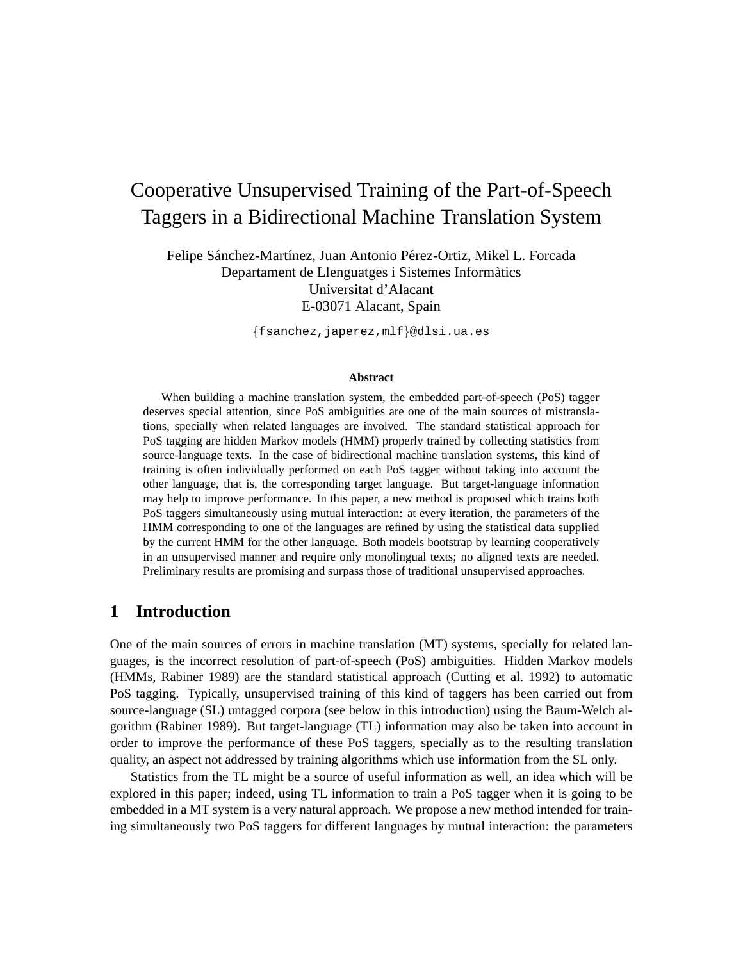# Cooperative Unsupervised Training of the Part-of-Speech Taggers in a Bidirectional Machine Translation System

Felipe Sánchez-Martínez, Juan Antonio Pérez-Ortiz, Mikel L. Forcada Departament de Llenguatges i Sistemes Informatics ` Universitat d'Alacant E-03071 Alacant, Spain

{fsanchez,japerez,mlf}@dlsi.ua.es

#### **Abstract**

When building a machine translation system, the embedded part-of-speech (PoS) tagger deserves special attention, since PoS ambiguities are one of the main sources of mistranslations, specially when related languages are involved. The standard statistical approach for PoS tagging are hidden Markov models (HMM) properly trained by collecting statistics from source-language texts. In the case of bidirectional machine translation systems, this kind of training is often individually performed on each PoS tagger without taking into account the other language, that is, the corresponding target language. But target-language information may help to improve performance. In this paper, a new method is proposed which trains both PoS taggers simultaneously using mutual interaction: at every iteration, the parameters of the HMM corresponding to one of the languages are refined by using the statistical data supplied by the current HMM for the other language. Both models bootstrap by learning cooperatively in an unsupervised manner and require only monolingual texts; no aligned texts are needed. Preliminary results are promising and surpass those of traditional unsupervised approaches.

# **1 Introduction**

One of the main sources of errors in machine translation (MT) systems, specially for related languages, is the incorrect resolution of part-of-speech (PoS) ambiguities. Hidden Markov models (HMMs, Rabiner 1989) are the standard statistical approach (Cutting et al. 1992) to automatic PoS tagging. Typically, unsupervised training of this kind of taggers has been carried out from source-language (SL) untagged corpora (see below in this introduction) using the Baum-Welch algorithm (Rabiner 1989). But target-language (TL) information may also be taken into account in order to improve the performance of these PoS taggers, specially as to the resulting translation quality, an aspect not addressed by training algorithms which use information from the SL only.

Statistics from the TL might be a source of useful information as well, an idea which will be explored in this paper; indeed, using TL information to train a PoS tagger when it is going to be embedded in a MT system is a very natural approach. We propose a new method intended for training simultaneously two PoS taggers for different languages by mutual interaction: the parameters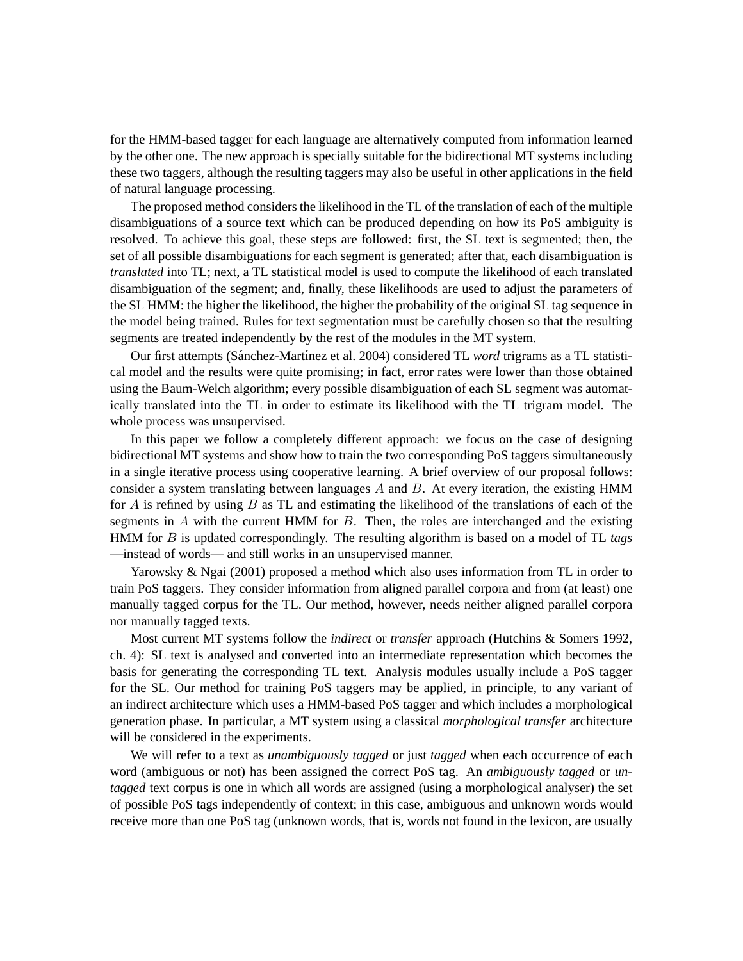for the HMM-based tagger for each language are alternatively computed from information learned by the other one. The new approach is specially suitable for the bidirectional MT systems including these two taggers, although the resulting taggers may also be useful in other applications in the field of natural language processing.

The proposed method considers the likelihood in the TL of the translation of each of the multiple disambiguations of a source text which can be produced depending on how its PoS ambiguity is resolved. To achieve this goal, these steps are followed: first, the SL text is segmented; then, the set of all possible disambiguations for each segment is generated; after that, each disambiguation is *translated* into TL; next, a TL statistical model is used to compute the likelihood of each translated disambiguation of the segment; and, finally, these likelihoods are used to adjust the parameters of the SL HMM: the higher the likelihood, the higher the probability of the original SL tag sequence in the model being trained. Rules for text segmentation must be carefully chosen so that the resulting segments are treated independently by the rest of the modules in the MT system.

Our first attempts (Sánchez-Martínez et al. 2004) considered TL *word* trigrams as a TL statistical model and the results were quite promising; in fact, error rates were lower than those obtained using the Baum-Welch algorithm; every possible disambiguation of each SL segment was automatically translated into the TL in order to estimate its likelihood with the TL trigram model. The whole process was unsupervised.

In this paper we follow a completely different approach: we focus on the case of designing bidirectional MT systems and show how to train the two corresponding PoS taggers simultaneously in a single iterative process using cooperative learning. A brief overview of our proposal follows: consider a system translating between languages  $A$  and  $B$ . At every iteration, the existing HMM for  $A$  is refined by using  $B$  as TL and estimating the likelihood of the translations of each of the segments in  $A$  with the current HMM for  $B$ . Then, the roles are interchanged and the existing HMM for B is updated correspondingly. The resulting algorithm is based on a model of TL *tags* —instead of words— and still works in an unsupervised manner.

Yarowsky & Ngai (2001) proposed a method which also uses information from TL in order to train PoS taggers. They consider information from aligned parallel corpora and from (at least) one manually tagged corpus for the TL. Our method, however, needs neither aligned parallel corpora nor manually tagged texts.

Most current MT systems follow the *indirect* or *transfer* approach (Hutchins & Somers 1992, ch. 4): SL text is analysed and converted into an intermediate representation which becomes the basis for generating the corresponding TL text. Analysis modules usually include a PoS tagger for the SL. Our method for training PoS taggers may be applied, in principle, to any variant of an indirect architecture which uses a HMM-based PoS tagger and which includes a morphological generation phase. In particular, a MT system using a classical *morphological transfer* architecture will be considered in the experiments.

We will refer to a text as *unambiguously tagged* or just *tagged* when each occurrence of each word (ambiguous or not) has been assigned the correct PoS tag. An *ambiguously tagged* or *untagged* text corpus is one in which all words are assigned (using a morphological analyser) the set of possible PoS tags independently of context; in this case, ambiguous and unknown words would receive more than one PoS tag (unknown words, that is, words not found in the lexicon, are usually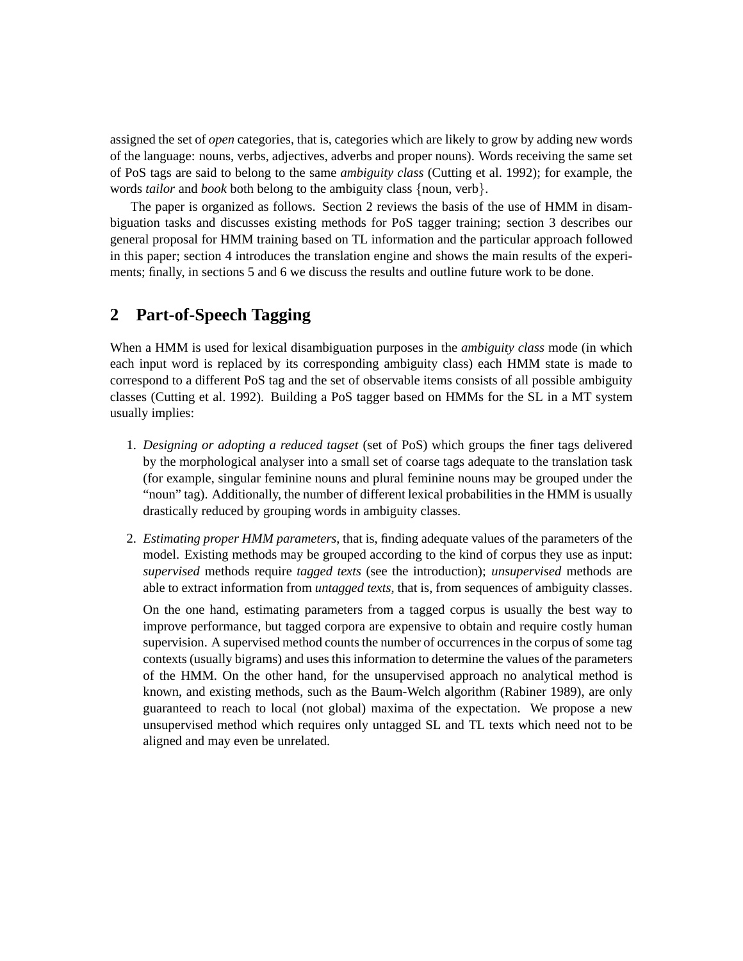assigned the set of *open* categories, that is, categories which are likely to grow by adding new words of the language: nouns, verbs, adjectives, adverbs and proper nouns). Words receiving the same set of PoS tags are said to belong to the same *ambiguity class* (Cutting et al. 1992); for example, the words *tailor* and *book* both belong to the ambiguity class {noun, verb}.

The paper is organized as follows. Section 2 reviews the basis of the use of HMM in disambiguation tasks and discusses existing methods for PoS tagger training; section 3 describes our general proposal for HMM training based on TL information and the particular approach followed in this paper; section 4 introduces the translation engine and shows the main results of the experiments; finally, in sections 5 and 6 we discuss the results and outline future work to be done.

# **2 Part-of-Speech Tagging**

When a HMM is used for lexical disambiguation purposes in the *ambiguity class* mode (in which each input word is replaced by its corresponding ambiguity class) each HMM state is made to correspond to a different PoS tag and the set of observable items consists of all possible ambiguity classes (Cutting et al. 1992). Building a PoS tagger based on HMMs for the SL in a MT system usually implies:

- 1. *Designing or adopting a reduced tagset* (set of PoS) which groups the finer tags delivered by the morphological analyser into a small set of coarse tags adequate to the translation task (for example, singular feminine nouns and plural feminine nouns may be grouped under the "noun" tag). Additionally, the number of different lexical probabilities in the HMM is usually drastically reduced by grouping words in ambiguity classes.
- 2. *Estimating proper HMM parameters*, that is, finding adequate values of the parameters of the model. Existing methods may be grouped according to the kind of corpus they use as input: *supervised* methods require *tagged texts* (see the introduction); *unsupervised* methods are able to extract information from *untagged texts*, that is, from sequences of ambiguity classes.

On the one hand, estimating parameters from a tagged corpus is usually the best way to improve performance, but tagged corpora are expensive to obtain and require costly human supervision. A supervised method counts the number of occurrences in the corpus of some tag contexts (usually bigrams) and uses this information to determine the values of the parameters of the HMM. On the other hand, for the unsupervised approach no analytical method is known, and existing methods, such as the Baum-Welch algorithm (Rabiner 1989), are only guaranteed to reach to local (not global) maxima of the expectation. We propose a new unsupervised method which requires only untagged SL and TL texts which need not to be aligned and may even be unrelated.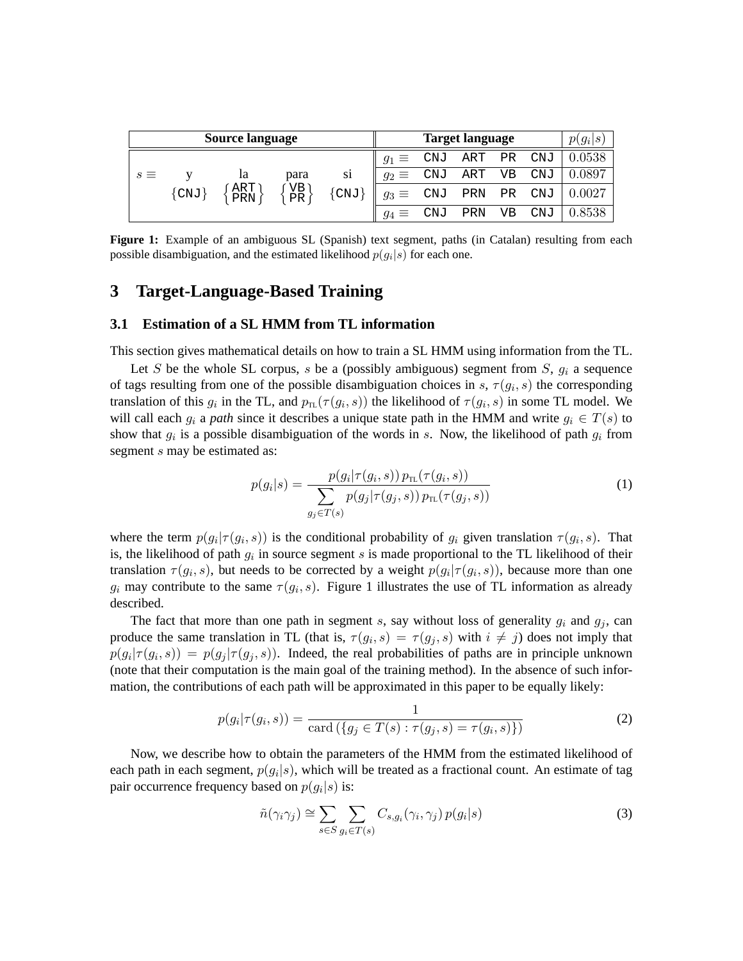| <b>Source language</b> |       |                    |                                                                      | <b>Target language</b>  |              |            |                         |     | $p(g_i s)$ |        |
|------------------------|-------|--------------------|----------------------------------------------------------------------|-------------------------|--------------|------------|-------------------------|-----|------------|--------|
|                        |       |                    |                                                                      |                         | $q_1 \equiv$ | CNJ        | ART PR                  |     | CNJ        | 0.0538 |
| $s \equiv$             | {CNJ} | ıa<br>ART )<br>PRN | para<br>$\left\{\begin{array}{c} \nVB \\ \nPR \n\end{array}\right\}$ | S <sub>1</sub><br>{CNJ} | $g_2 \equiv$ | <b>CNJ</b> | ART                     | VB. | CNJ        | 0.0897 |
|                        |       |                    |                                                                      |                         |              |            | $g_3 \equiv$ CNJ PRN PR |     | CNJ        | 0.0027 |
|                        |       |                    |                                                                      |                         | $g_4 \equiv$ | CNJ        | PRN                     | VB  | CNJ        | 0.8538 |

**Figure 1:** Example of an ambiguous SL (Spanish) text segment, paths (in Catalan) resulting from each possible disambiguation, and the estimated likelihood  $p(g_i|s)$  for each one.

# **3 Target-Language-Based Training**

#### **3.1 Estimation of a SL HMM from TL information**

This section gives mathematical details on how to train a SL HMM using information from the TL.

Let S be the whole SL corpus, s be a (possibly ambiguous) segment from S,  $g_i$  a sequence of tags resulting from one of the possible disambiguation choices in s,  $\tau(g_i, s)$  the corresponding translation of this  $g_i$  in the TL, and  $p_{TL}(\tau(g_i, s))$  the likelihood of  $\tau(g_i, s)$  in some TL model. We will call each  $g_i$  a *path* since it describes a unique state path in the HMM and write  $g_i \in T(s)$  to show that  $g_i$  is a possible disambiguation of the words in s. Now, the likelihood of path  $g_i$  from segment s may be estimated as:

$$
p(g_i|s) = \frac{p(g_i|\tau(g_i, s)) p_{\text{TL}}(\tau(g_i, s))}{\sum_{g_j \in T(s)} p(g_j|\tau(g_j, s)) p_{\text{TL}}(\tau(g_j, s))}
$$
(1)

where the term  $p(g_i | \tau(g_i, s))$  is the conditional probability of  $g_i$  given translation  $\tau(g_i, s)$ . That is, the likelihood of path  $g_i$  in source segment s is made proportional to the TL likelihood of their translation  $\tau(g_i, s)$ , but needs to be corrected by a weight  $p(g_i | \tau(g_i, s))$ , because more than one  $g_i$  may contribute to the same  $\tau(g_i, s)$ . Figure 1 illustrates the use of TL information as already described.

The fact that more than one path in segment s, say without loss of generality  $g_i$  and  $g_j$ , can produce the same translation in TL (that is,  $\tau(g_i, s) = \tau(g_j, s)$  with  $i \neq j$ ) does not imply that  $p(g_i | \tau(g_i, s)) = p(g_j | \tau(g_j, s))$ . Indeed, the real probabilities of paths are in principle unknown (note that their computation is the main goal of the training method). In the absence of such information, the contributions of each path will be approximated in this paper to be equally likely:

$$
p(g_i|\tau(g_i, s)) = \frac{1}{\text{card}(\{g_j \in T(s) : \tau(g_j, s) = \tau(g_i, s)\})}
$$
(2)

Now, we describe how to obtain the parameters of the HMM from the estimated likelihood of each path in each segment,  $p(g_i|s)$ , which will be treated as a fractional count. An estimate of tag pair occurrence frequency based on  $p(g_i|s)$  is:

$$
\tilde{n}(\gamma_i \gamma_j) \cong \sum_{s \in S} \sum_{g_i \in T(s)} C_{s,g_i}(\gamma_i, \gamma_j) p(g_i|s)
$$
\n(3)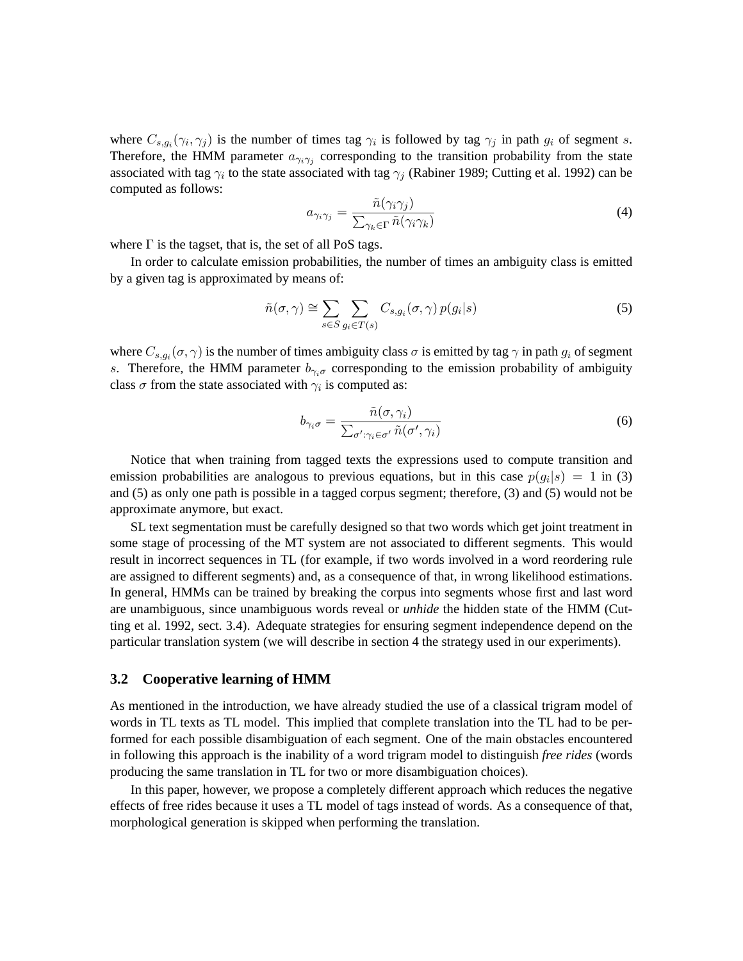where  $C_{s,g_i}(\gamma_i, \gamma_j)$  is the number of times tag  $\gamma_i$  is followed by tag  $\gamma_j$  in path  $g_i$  of segment s. Therefore, the HMM parameter  $a_{\gamma_i\gamma_j}$  corresponding to the transition probability from the state associated with tag  $\gamma_i$  to the state associated with tag  $\gamma_j$  (Rabiner 1989; Cutting et al. 1992) can be computed as follows:

$$
a_{\gamma_i \gamma_j} = \frac{\tilde{n}(\gamma_i \gamma_j)}{\sum_{\gamma_k \in \Gamma} \tilde{n}(\gamma_i \gamma_k)}\tag{4}
$$

where  $\Gamma$  is the tagset, that is, the set of all PoS tags.

In order to calculate emission probabilities, the number of times an ambiguity class is emitted by a given tag is approximated by means of:

$$
\tilde{n}(\sigma, \gamma) \cong \sum_{s \in S} \sum_{g_i \in T(s)} C_{s, g_i}(\sigma, \gamma) p(g_i|s)
$$
\n<sup>(5)</sup>

where  $C_{s,g_i}(\sigma,\gamma)$  is the number of times ambiguity class  $\sigma$  is emitted by tag  $\gamma$  in path  $g_i$  of segment s. Therefore, the HMM parameter  $b_{\gamma_i\sigma}$  corresponding to the emission probability of ambiguity class  $\sigma$  from the state associated with  $\gamma_i$  is computed as:

$$
b_{\gamma_i \sigma} = \frac{\tilde{n}(\sigma, \gamma_i)}{\sum_{\sigma': \gamma_i \in \sigma'} \tilde{n}(\sigma', \gamma_i)}
$$
(6)

Notice that when training from tagged texts the expressions used to compute transition and emission probabilities are analogous to previous equations, but in this case  $p(g_i|s) = 1$  in (3) and (5) as only one path is possible in a tagged corpus segment; therefore, (3) and (5) would not be approximate anymore, but exact.

SL text segmentation must be carefully designed so that two words which get joint treatment in some stage of processing of the MT system are not associated to different segments. This would result in incorrect sequences in TL (for example, if two words involved in a word reordering rule are assigned to different segments) and, as a consequence of that, in wrong likelihood estimations. In general, HMMs can be trained by breaking the corpus into segments whose first and last word are unambiguous, since unambiguous words reveal or *unhide* the hidden state of the HMM (Cutting et al. 1992, sect. 3.4). Adequate strategies for ensuring segment independence depend on the particular translation system (we will describe in section 4 the strategy used in our experiments).

#### **3.2 Cooperative learning of HMM**

As mentioned in the introduction, we have already studied the use of a classical trigram model of words in TL texts as TL model. This implied that complete translation into the TL had to be performed for each possible disambiguation of each segment. One of the main obstacles encountered in following this approach is the inability of a word trigram model to distinguish *free rides* (words producing the same translation in TL for two or more disambiguation choices).

In this paper, however, we propose a completely different approach which reduces the negative effects of free rides because it uses a TL model of tags instead of words. As a consequence of that, morphological generation is skipped when performing the translation.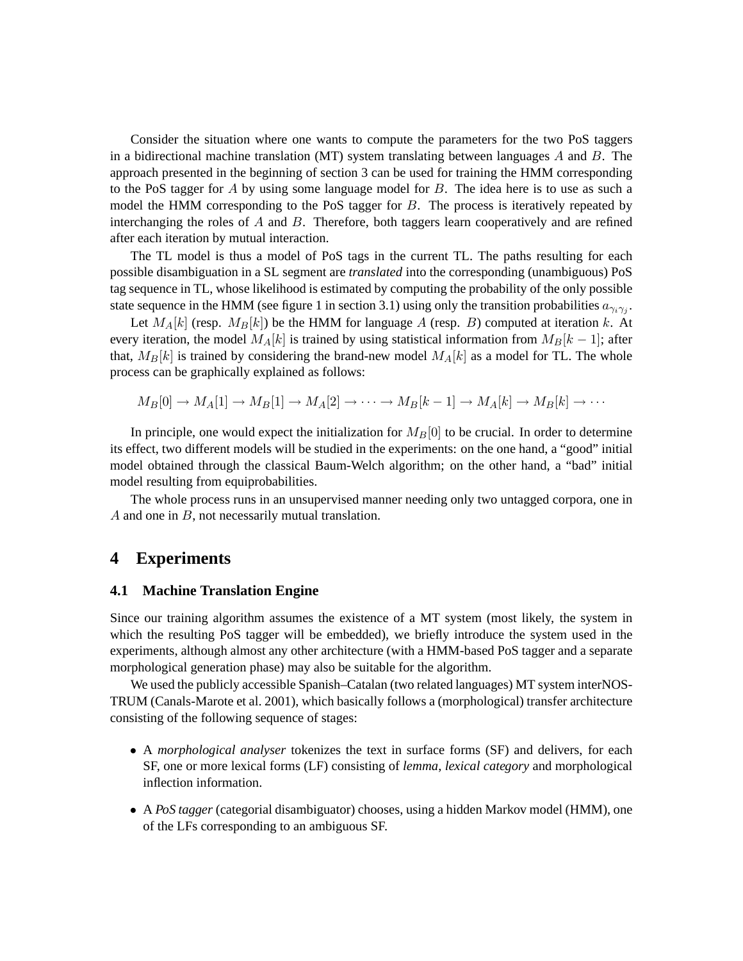Consider the situation where one wants to compute the parameters for the two PoS taggers in a bidirectional machine translation (MT) system translating between languages  $\vec{A}$  and  $\vec{B}$ . The approach presented in the beginning of section 3 can be used for training the HMM corresponding to the PoS tagger for  $\overline{A}$  by using some language model for  $\overline{B}$ . The idea here is to use as such a model the HMM corresponding to the PoS tagger for  $B$ . The process is iteratively repeated by interchanging the roles of  $A$  and  $B$ . Therefore, both taggers learn cooperatively and are refined after each iteration by mutual interaction.

The TL model is thus a model of PoS tags in the current TL. The paths resulting for each possible disambiguation in a SL segment are *translated* into the corresponding (unambiguous) PoS tag sequence in TL, whose likelihood is estimated by computing the probability of the only possible state sequence in the HMM (see figure 1 in section 3.1) using only the transition probabilities  $a_{\gamma_i\gamma_j}$ .

Let  $M_A[k]$  (resp.  $M_B[k]$ ) be the HMM for language A (resp. B) computed at iteration k. At every iteration, the model  $M_A[k]$  is trained by using statistical information from  $M_B[k-1]$ ; after that,  $M_B[k]$  is trained by considering the brand-new model  $M_A[k]$  as a model for TL. The whole process can be graphically explained as follows:

$$
M_B[0] \to M_A[1] \to M_B[1] \to M_A[2] \to \cdots \to M_B[k-1] \to M_A[k] \to M_B[k] \to \cdots
$$

In principle, one would expect the initialization for  $M_B[0]$  to be crucial. In order to determine its effect, two different models will be studied in the experiments: on the one hand, a "good" initial model obtained through the classical Baum-Welch algorithm; on the other hand, a "bad" initial model resulting from equiprobabilities.

The whole process runs in an unsupervised manner needing only two untagged corpora, one in A and one in B, not necessarily mutual translation.

# **4 Experiments**

#### **4.1 Machine Translation Engine**

Since our training algorithm assumes the existence of a MT system (most likely, the system in which the resulting PoS tagger will be embedded), we briefly introduce the system used in the experiments, although almost any other architecture (with a HMM-based PoS tagger and a separate morphological generation phase) may also be suitable for the algorithm.

We used the publicly accessible Spanish–Catalan (two related languages) MT system interNOS-TRUM (Canals-Marote et al. 2001), which basically follows a (morphological) transfer architecture consisting of the following sequence of stages:

- A *morphological analyser* tokenizes the text in surface forms (SF) and delivers, for each SF, one or more lexical forms (LF) consisting of *lemma*, *lexical category* and morphological inflection information.
- A *PoS tagger* (categorial disambiguator) chooses, using a hidden Markov model (HMM), one of the LFs corresponding to an ambiguous SF.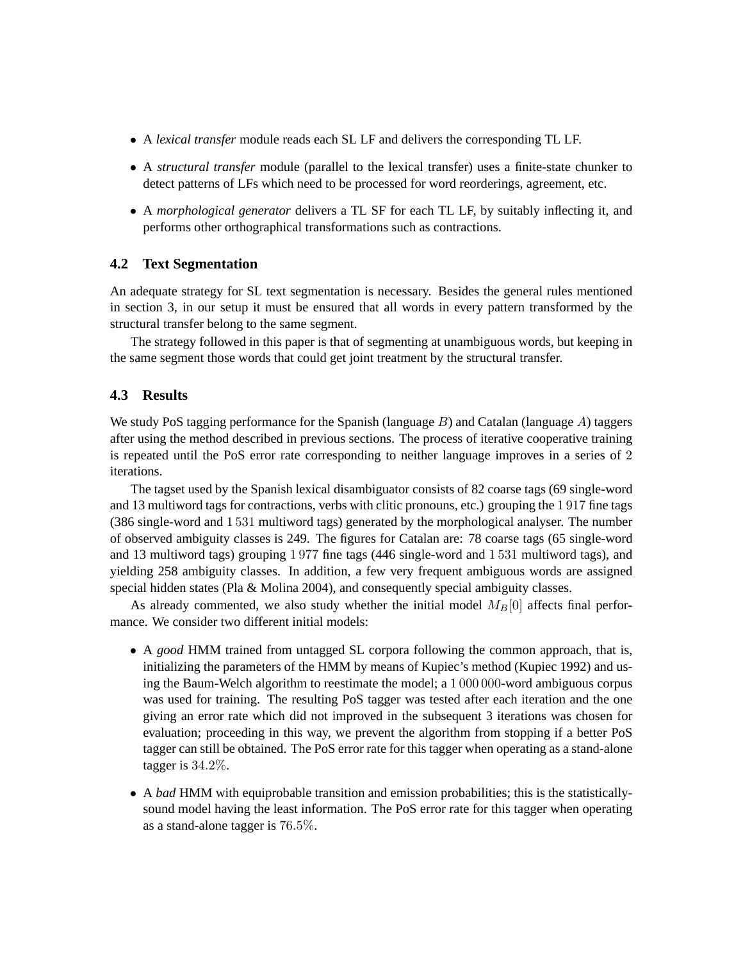- A *lexical transfer* module reads each SL LF and delivers the corresponding TL LF.
- A *structural transfer* module (parallel to the lexical transfer) uses a finite-state chunker to detect patterns of LFs which need to be processed for word reorderings, agreement, etc.
- A *morphological generator* delivers a TL SF for each TL LF, by suitably inflecting it, and performs other orthographical transformations such as contractions.

# **4.2 Text Segmentation**

An adequate strategy for SL text segmentation is necessary. Besides the general rules mentioned in section 3, in our setup it must be ensured that all words in every pattern transformed by the structural transfer belong to the same segment.

The strategy followed in this paper is that of segmenting at unambiguous words, but keeping in the same segment those words that could get joint treatment by the structural transfer.

# **4.3 Results**

We study PoS tagging performance for the Spanish (language  $B$ ) and Catalan (language  $A$ ) taggers after using the method described in previous sections. The process of iterative cooperative training is repeated until the PoS error rate corresponding to neither language improves in a series of 2 iterations.

The tagset used by the Spanish lexical disambiguator consists of 82 coarse tags (69 single-word and 13 multiword tags for contractions, verbs with clitic pronouns, etc.) grouping the 1 917 fine tags (386 single-word and 1 531 multiword tags) generated by the morphological analyser. The number of observed ambiguity classes is 249. The figures for Catalan are: 78 coarse tags (65 single-word and 13 multiword tags) grouping 1 977 fine tags (446 single-word and 1 531 multiword tags), and yielding 258 ambiguity classes. In addition, a few very frequent ambiguous words are assigned special hidden states (Pla & Molina 2004), and consequently special ambiguity classes.

As already commented, we also study whether the initial model  $M_B[0]$  affects final performance. We consider two different initial models:

- A *good* HMM trained from untagged SL corpora following the common approach, that is, initializing the parameters of the HMM by means of Kupiec's method (Kupiec 1992) and using the Baum-Welch algorithm to reestimate the model; a 1 000 000-word ambiguous corpus was used for training. The resulting PoS tagger was tested after each iteration and the one giving an error rate which did not improved in the subsequent 3 iterations was chosen for evaluation; proceeding in this way, we prevent the algorithm from stopping if a better PoS tagger can still be obtained. The PoS error rate for this tagger when operating as a stand-alone tagger is 34.2%.
- A *bad* HMM with equiprobable transition and emission probabilities; this is the statisticallysound model having the least information. The PoS error rate for this tagger when operating as a stand-alone tagger is 76.5%.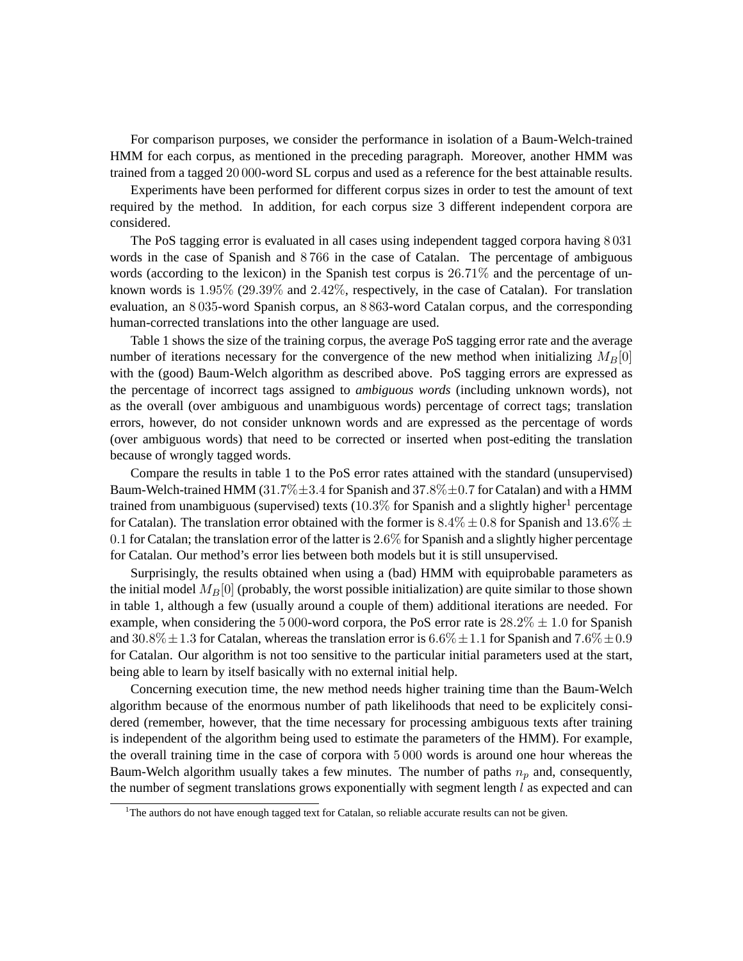For comparison purposes, we consider the performance in isolation of a Baum-Welch-trained HMM for each corpus, as mentioned in the preceding paragraph. Moreover, another HMM was trained from a tagged 20 000-word SL corpus and used as a reference for the best attainable results.

Experiments have been performed for different corpus sizes in order to test the amount of text required by the method. In addition, for each corpus size 3 different independent corpora are considered.

The PoS tagging error is evaluated in all cases using independent tagged corpora having 8 031 words in the case of Spanish and 8 766 in the case of Catalan. The percentage of ambiguous words (according to the lexicon) in the Spanish test corpus is 26.71% and the percentage of unknown words is 1.95% (29.39% and 2.42%, respectively, in the case of Catalan). For translation evaluation, an 8 035-word Spanish corpus, an 8 863-word Catalan corpus, and the corresponding human-corrected translations into the other language are used.

Table 1 shows the size of the training corpus, the average PoS tagging error rate and the average number of iterations necessary for the convergence of the new method when initializing  $M_B[0]$ with the (good) Baum-Welch algorithm as described above. PoS tagging errors are expressed as the percentage of incorrect tags assigned to *ambiguous words* (including unknown words), not as the overall (over ambiguous and unambiguous words) percentage of correct tags; translation errors, however, do not consider unknown words and are expressed as the percentage of words (over ambiguous words) that need to be corrected or inserted when post-editing the translation because of wrongly tagged words.

Compare the results in table 1 to the PoS error rates attained with the standard (unsupervised) Baum-Welch-trained HMM (31.7% $\pm$ 3.4 for Spanish and 37.8% $\pm$ 0.7 for Catalan) and with a HMM trained from unambiguous (supervised) texts  $(10.3\%$  for Spanish and a slightly higher<sup>1</sup> percentage for Catalan). The translation error obtained with the former is  $8.4\% \pm 0.8$  for Spanish and  $13.6\% \pm 0.8$ 0.1 for Catalan; the translation error of the latter is 2.6% for Spanish and a slightly higher percentage for Catalan. Our method's error lies between both models but it is still unsupervised.

Surprisingly, the results obtained when using a (bad) HMM with equiprobable parameters as the initial model  $M_B[0]$  (probably, the worst possible initialization) are quite similar to those shown in table 1, although a few (usually around a couple of them) additional iterations are needed. For example, when considering the 5 000-word corpora, the PoS error rate is  $28.2\% \pm 1.0$  for Spanish and  $30.8\% \pm 1.3$  for Catalan, whereas the translation error is  $6.6\% \pm 1.1$  for Spanish and  $7.6\% \pm 0.9$ for Catalan. Our algorithm is not too sensitive to the particular initial parameters used at the start, being able to learn by itself basically with no external initial help.

Concerning execution time, the new method needs higher training time than the Baum-Welch algorithm because of the enormous number of path likelihoods that need to be explicitely considered (remember, however, that the time necessary for processing ambiguous texts after training is independent of the algorithm being used to estimate the parameters of the HMM). For example, the overall training time in the case of corpora with 5 000 words is around one hour whereas the Baum-Welch algorithm usually takes a few minutes. The number of paths  $n_p$  and, consequently, the number of segment translations grows exponentially with segment length  $l$  as expected and can

 $1$ <sup>1</sup>The authors do not have enough tagged text for Catalan, so reliable accurate results can not be given.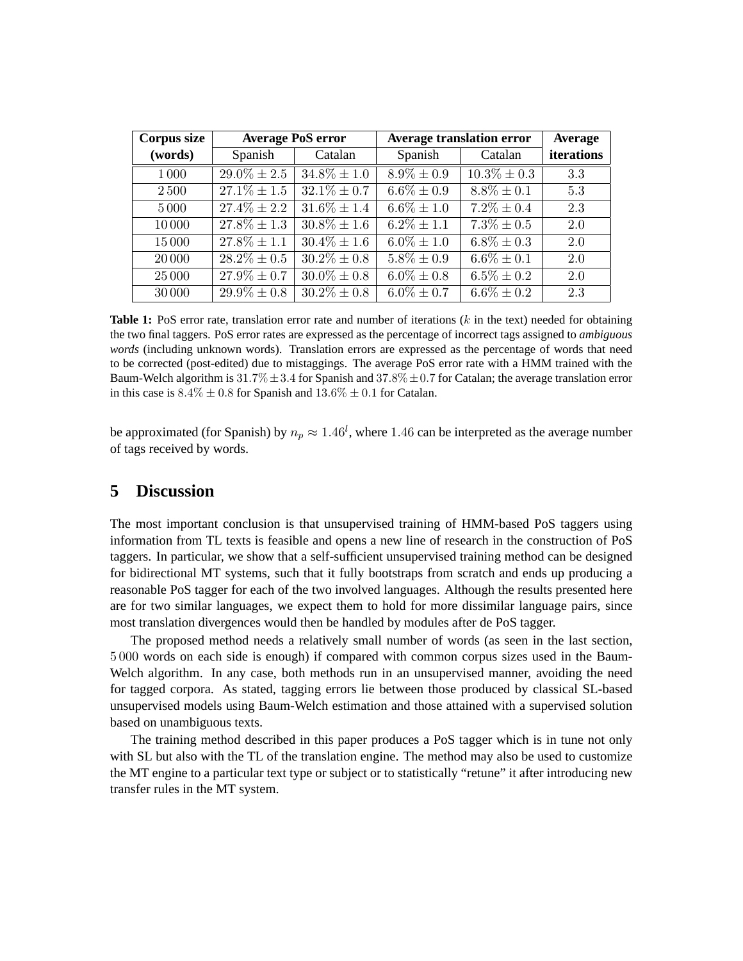| Corpus size |                  | <b>Average PoS error</b> | <b>Average translation error</b> | Average          |            |
|-------------|------------------|--------------------------|----------------------------------|------------------|------------|
| (words)     | Spanish          | Catalan                  | Spanish                          | Catalan          | iterations |
| 1000        | $29.0\% \pm 2.5$ | $34.8\% \pm 1.0$         | $8.9\% \pm 0.9$                  | $10.3\% \pm 0.3$ | 3.3        |
| 2500        | $27.1\% \pm 1.5$ | $32.1\% \pm 0.7$         | $6.6\% \pm 0.9$                  | $8.8\% \pm 0.1$  | 5.3        |
| 5000        | $27.4\% \pm 2.2$ | $31.6\% \pm 1.4$         | $6.6\% \pm 1.0$                  | $7.2\% \pm 0.4$  | 2.3        |
| 10000       | $27.8\% \pm 1.3$ | $30.8\% \pm 1.6$         | $6.2\% \pm 1.1$                  | $7.3\% \pm 0.5$  | 2.0        |
| 15000       | $27.8\% \pm 1.1$ | $30.4\% \pm 1.6$         | $6.0\% \pm 1.0$                  | $6.8\% \pm 0.3$  | 2.0        |
| 20 000      | $28.2\% \pm 0.5$ | $30.2\% \pm 0.8$         | $5.8\% \pm 0.9$                  | $6.6\% \pm 0.1$  | 2.0        |
| 25 000      | $27.9\% \pm 0.7$ | $30.0\% \pm 0.8$         | $6.0\% \pm 0.8$                  | $6.5\% \pm 0.2$  | 2.0        |
| 30 000      | $29.9\% \pm 0.8$ | $30.2\% \pm 0.8$         | $6.0\% \pm 0.7$                  | $6.6\% \pm 0.2$  | 2.3        |

**Table 1:** PoS error rate, translation error rate and number of iterations (k in the text) needed for obtaining the two final taggers. PoS error rates are expressed as the percentage of incorrect tags assigned to *ambiguous words* (including unknown words). Translation errors are expressed as the percentage of words that need to be corrected (post-edited) due to mistaggings. The average PoS error rate with a HMM trained with the Baum-Welch algorithm is  $31.7\% \pm 3.4$  for Spanish and  $37.8\% \pm 0.7$  for Catalan; the average translation error in this case is  $8.4\% \pm 0.8$  for Spanish and  $13.6\% \pm 0.1$  for Catalan.

be approximated (for Spanish) by  $n_p \approx 1.46^l$ , where 1.46 can be interpreted as the average number of tags received by words.

# **5 Discussion**

The most important conclusion is that unsupervised training of HMM-based PoS taggers using information from TL texts is feasible and opens a new line of research in the construction of PoS taggers. In particular, we show that a self-sufficient unsupervised training method can be designed for bidirectional MT systems, such that it fully bootstraps from scratch and ends up producing a reasonable PoS tagger for each of the two involved languages. Although the results presented here are for two similar languages, we expect them to hold for more dissimilar language pairs, since most translation divergences would then be handled by modules after de PoS tagger.

The proposed method needs a relatively small number of words (as seen in the last section, 5 000 words on each side is enough) if compared with common corpus sizes used in the Baum-Welch algorithm. In any case, both methods run in an unsupervised manner, avoiding the need for tagged corpora. As stated, tagging errors lie between those produced by classical SL-based unsupervised models using Baum-Welch estimation and those attained with a supervised solution based on unambiguous texts.

The training method described in this paper produces a PoS tagger which is in tune not only with SL but also with the TL of the translation engine. The method may also be used to customize the MT engine to a particular text type or subject or to statistically "retune" it after introducing new transfer rules in the MT system.